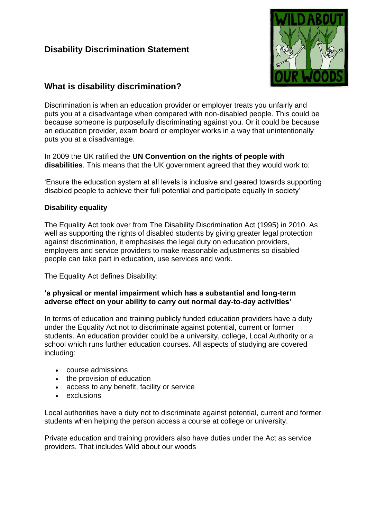## **Disability Discrimination Statement**



## **What is disability discrimination?**

Discrimination is when an education provider or employer treats you unfairly and puts you at a disadvantage when compared with non-disabled people. This could be because someone is purposefully discriminating against you. Or it could be because an education provider, exam board or employer works in a way that unintentionally puts you at a disadvantage.

In 2009 the UK ratified the **UN Convention on the rights of people with disabilities**. This means that the UK government agreed that they would work to:

'Ensure the education system at all levels is inclusive and geared towards supporting disabled people to achieve their full potential and participate equally in society'

## **Disability equality**

The Equality Act took over from The Disability Discrimination Act (1995) in 2010. As well as supporting the rights of disabled students by giving greater legal protection against discrimination, it emphasises the legal duty on education providers, employers and service providers to make reasonable adjustments so disabled people can take part in education, use services and work.

The Equality Act defines Disability:

## **'a physical or mental impairment which has a substantial and long-term adverse effect on your ability to carry out normal day-to-day activities'**

In terms of education and training publicly funded education providers have a duty under the Equality Act not to discriminate against potential, current or former students. An education provider could be a university, college, Local Authority or a school which runs further education courses. All aspects of studying are covered including:

- course admissions
- the provision of education
- access to any benefit, facility or service
- exclusions

Local authorities have a duty not to discriminate against potential, current and former students when helping the person access a course at college or university.

Private education and training providers also have duties under the Act as service providers. That includes Wild about our woods